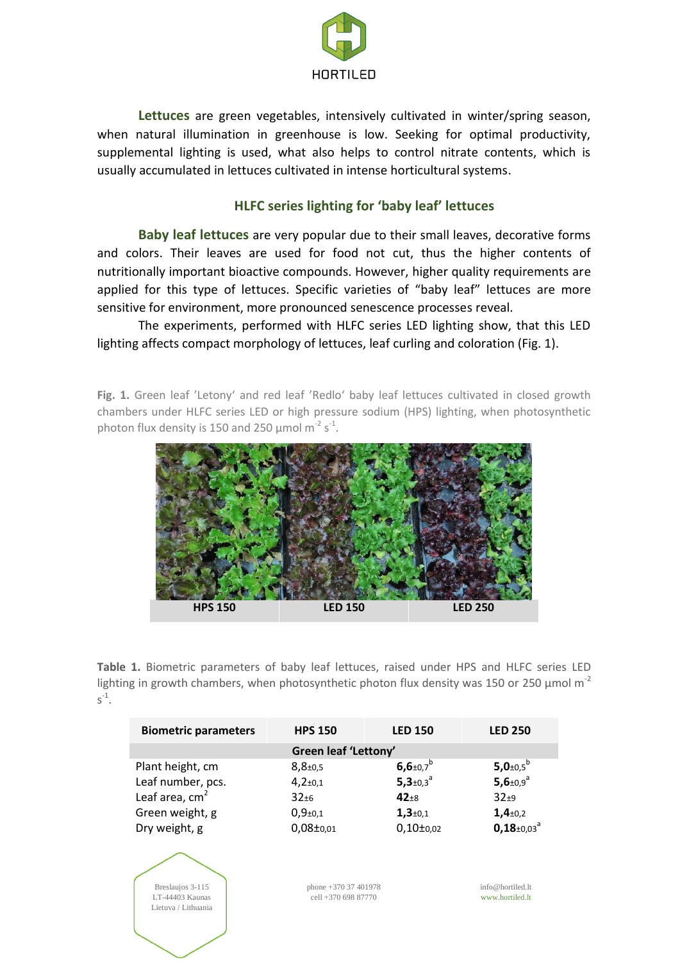

**Lettuces** are green vegetables, intensively cultivated in winter/spring season, when natural illumination in greenhouse is low. Seeking for optimal productivity, supplemental lighting is used, what also helps to control nitrate contents, which is usually accumulated in lettuces cultivated in intense horticultural systems.

## **HLFC series lighting for 'baby leaf' lettuces**

**Baby leaf lettuces** are very popular due to their small leaves, decorative forms and colors. Their leaves are used for food not cut, thus the higher contents of nutritionally important bioactive compounds. However, higher quality requirements are applied for this type of lettuces. Specific varieties of "baby leaf" lettuces are more sensitive for environment, more pronounced senescence processes reveal.

The experiments, performed with HLFC series LED lighting show, that this LED lighting affects compact morphology of lettuces, leaf curling and coloration (Fig. 1).

Fig. 1. Green leaf 'Letony' and red leaf 'Redlo' baby leaf lettuces cultivated in closed growth chambers under HLFC series LED or high pressure sodium (HPS) lighting, when photosynthetic photon flux density is 150 and 250  $\mu$ mol m<sup>-2</sup> s<sup>-1</sup>.



**Table 1.** Biometric parameters of baby leaf lettuces, raised under HPS and HLFC series LED lighting in growth chambers, when photosynthetic photon flux density was 150 or 250  $\mu$ mol m<sup>-2</sup>  $s^{-1}$ .

| <b>Biometric parameters</b> | <b>HPS 150</b>             | <b>LED 150</b>                     | <b>LED 250</b>               |  |  |  |
|-----------------------------|----------------------------|------------------------------------|------------------------------|--|--|--|
| Green leaf 'Lettony'        |                            |                                    |                              |  |  |  |
| Plant height, cm            | $8,8{\scriptstyle \pm0.5}$ | $6,6{\scriptstyle \pm0.7}^{\rm b}$ | 5,0 $\pm$ 0,5 <sup>b</sup>   |  |  |  |
| Leaf number, pcs.           | $4,2{\scriptstyle \pm0,1}$ | $5,3{\scriptstyle \pm0,3}^{\circ}$ | $5,6+0.9^{a}$                |  |  |  |
| Leaf area, $cm2$            | $32 + 6$                   | $42+8$                             | $32+9$                       |  |  |  |
| Green weight, g             | $0,9{\scriptstyle \pm0,1}$ | $1,3+0,1$                          | $1,4{\scriptstyle \pm0,2}$   |  |  |  |
| Dry weight, g               | $0,08\pm0.01$              | $0,10\pm0.02$                      | $0,18 \pm 0.03$ <sup>a</sup> |  |  |  |
|                             |                            |                                    |                              |  |  |  |

phone +370 37 401978 cell +370 698 87770

Breslaujos 3-115 LT-44403 Kaunas Lietuva / Lithuania

info@hortiled.lt www.hortiled.lt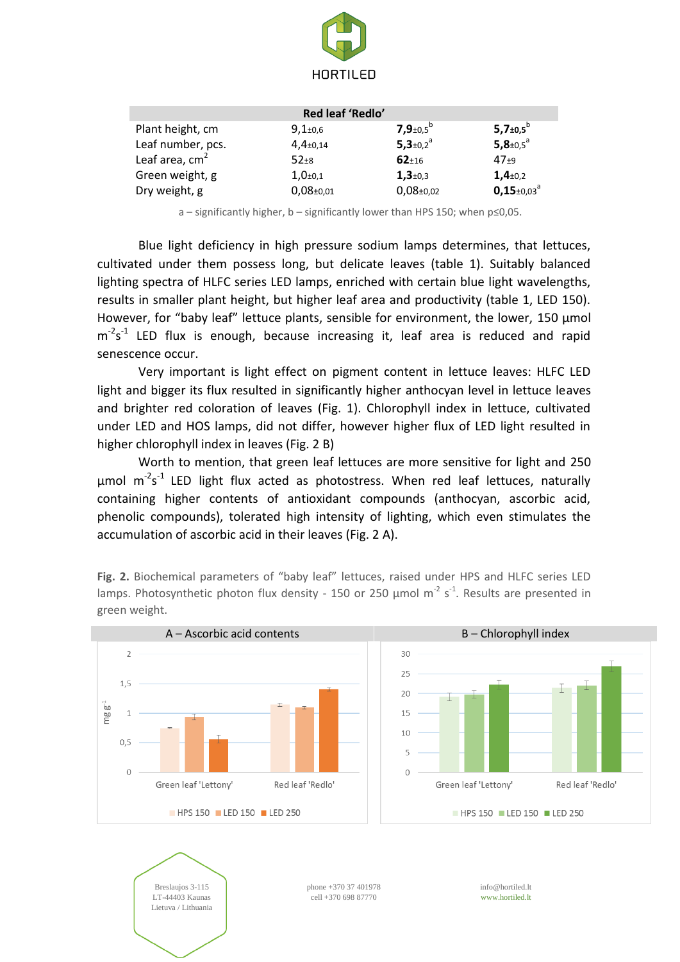

| Red leaf 'Redlo'  |                            |                              |                                      |  |  |  |
|-------------------|----------------------------|------------------------------|--------------------------------------|--|--|--|
| Plant height, cm  | $9,1{\scriptstyle \pm0.6}$ | 7,9 $\pm$ 0,5 <sup>b</sup>   | $5,7{\scriptstyle \pm0.5}^{\rm b}$   |  |  |  |
| Leaf number, pcs. | $4,4_{\pm 0,14}$           | $5,3{\scriptstyle \pm0,2}^a$ | 5,8 $\pm$ 0,5 $^{a}$                 |  |  |  |
| Leaf area, $cm2$  | $52+8$                     | $62 + 16$                    | $47+9$                               |  |  |  |
| Green weight, g   | $1,0+0,1$                  | $1,3+0,3$                    | $1,4{\scriptstyle \pm0,2}$           |  |  |  |
| Dry weight, g     | $0,08+0,01$                | $0,08_{\pm 0,02}$            | $0,15{\scriptstyle \pm0.03}^{\rm a}$ |  |  |  |

a – significantly higher, b – significantly lower than HPS 150; when p≤0,05.

Blue light deficiency in high pressure sodium lamps determines, that lettuces, cultivated under them possess long, but delicate leaves (table 1). Suitably balanced lighting spectra of HLFC series LED lamps, enriched with certain blue light wavelengths, results in smaller plant height, but higher leaf area and productivity (table 1, LED 150). However, for "baby leaf" lettuce plants, sensible for environment, the lower, 150 µmol m<sup>-2</sup>s<sup>-1</sup> LED flux is enough, because increasing it, leaf area is reduced and rapid senescence occur.

Very important is light effect on pigment content in lettuce leaves: HLFC LED light and bigger its flux resulted in significantly higher anthocyan level in lettuce leaves and brighter red coloration of leaves (Fig. 1). Chlorophyll index in lettuce, cultivated under LED and HOS lamps, did not differ, however higher flux of LED light resulted in higher chlorophyll index in leaves (Fig. 2 B)

Worth to mention, that green leaf lettuces are more sensitive for light and 250  $\mu$ mol m<sup>-2</sup>s<sup>-1</sup> LED light flux acted as photostress. When red leaf lettuces, naturally containing higher contents of antioxidant compounds (anthocyan, ascorbic acid, phenolic compounds), tolerated high intensity of lighting, which even stimulates the accumulation of ascorbic acid in their leaves (Fig. 2 A).



**Fig. 2.** Biochemical parameters of "baby leaf" lettuces, raised under HPS and HLFC series LED lamps. Photosynthetic photon flux density - 150 or 250  $\mu$ mol m<sup>-2</sup> s<sup>-1</sup>. Results are presented in green weight.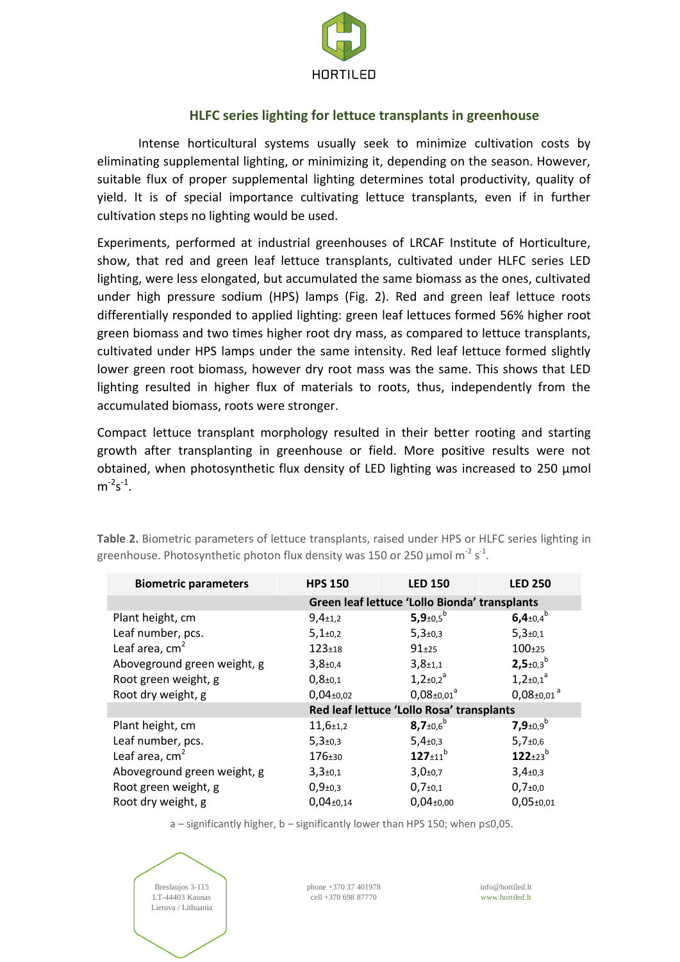

# **HLFC series lighting for lettuce transplants in greenhouse**

Intense horticultural systems usually seek to minimize cultivation costs by eliminating supplemental lighting, or minimizing it, depending on the season. However, suitable flux of proper supplemental lighting determines total productivity, quality of yield. It is of special importance cultivating lettuce transplants, even if in further cultivation steps no lighting would be used.

Experiments, performed at industrial greenhouses of LRCAF Institute of Horticulture, show, that red and green leaf lettuce transplants, cultivated under HLFC series LED lighting, were less elongated, but accumulated the same biomass as the ones, cultivated under high pressure sodium (HPS) lamps (Fig. 2). Red and green leaf lettuce roots differentially responded to applied lighting: green leaf lettuces formed 56% higher root green biomass and two times higher root dry mass, as compared to lettuce transplants, cultivated under HPS lamps under the same intensity. Red leaf lettuce formed slightly lower green root biomass, however dry root mass was the same. This shows that LED lighting resulted in higher flux of materials to roots, thus, independently from the accumulated biomass, roots were stronger.

Compact lettuce transplant morphology resulted in their better rooting and starting growth after transplanting in greenhouse or field. More positive results were not obtained, when photosynthetic flux density of LED lighting was increased to 250 µmol  $m^{-2}s^{-1}$ .

| <b>Biometric parameters</b> | <b>HPS 150</b>                                | <b>LED 150</b>                     | <b>LED 250</b>               |  |
|-----------------------------|-----------------------------------------------|------------------------------------|------------------------------|--|
|                             | Green leaf lettuce 'Lollo Bionda' transplants |                                    |                              |  |
| Plant height, cm            | $9,4{\scriptstyle \pm1,2}$                    | 5,9 $\pm$ 0,5 <sup>b</sup>         | 6,4 $\pm$ 0,4 $^{\circ}$     |  |
| Leaf number, pcs.           | $5,1{\scriptstyle \pm0,2}$                    | $5,3{\scriptstyle \pm0,3}$         | $5,3{\scriptstyle \pm0,1}$   |  |
| Leaf area, $cm2$            | $123 + 18$                                    | $91+25$                            | $100+25$                     |  |
| Aboveground green weight, g | $3,8+0,4$                                     | $3,8{\scriptstyle \pm1,1}$         | $2,5+0,3^b$                  |  |
| Root green weight, g        | $0,8{\scriptstyle \pm0,1}$                    | $1,2{\scriptstyle \pm}0.2^a$       | $1,2{\pm}0,1^a$              |  |
| Root dry weight, g          | $0,04_{\pm 0,02}$                             | $0.08 \pm 0.01$ <sup>a</sup>       | $0,08 \pm 0.01$ <sup>a</sup> |  |
|                             | Red leaf lettuce 'Lollo Rosa' transplants     |                                    |                              |  |
| Plant height, cm            | $11,6{\scriptstyle \pm1,2}$                   | $8,7{\scriptstyle \pm0,6}^{\rm b}$ | 7,9 $\pm 0.9^b$              |  |
| Leaf number, pcs.           | $5,3{\scriptstyle \pm0,3}$                    | $5,4{\scriptstyle \pm0,3}$         | $5,7{\scriptstyle \pm0,6}$   |  |
| Leaf area, $cm2$            | 176±30                                        | $127 \pm 11^{b}$                   | $122_{\pm 23}$ <sup>b</sup>  |  |
| Aboveground green weight, g | $3,3{\scriptstyle \pm0,1}$                    | $3,0{\scriptstyle \pm0.7}$         | $3,4{\scriptstyle \pm0,3}$   |  |
| Root green weight, g        | $0,9{\scriptstyle \pm0,3}$                    | $0,7{\scriptstyle \pm0,1}$         | $0,7{\scriptstyle \pm0,0}$   |  |
| Root dry weight, g          | $0,04{\scriptstyle \pm0,14}$                  | $0,04_{\pm0,00}$                   | $0,05+0,01$                  |  |

**Table 2.** Biometric parameters of lettuce transplants, raised under HPS or HLFC series lighting in greenhouse. Photosynthetic photon flux density was 150 or 250  $\mu$ mol m<sup>-2</sup> s<sup>-1</sup>.

a – significantly higher, b – significantly lower than HPS 150; when p≤0,05.



phone +370 37 401978 cell +370 698 87770

info@hortiled.lt www.hortiled.lt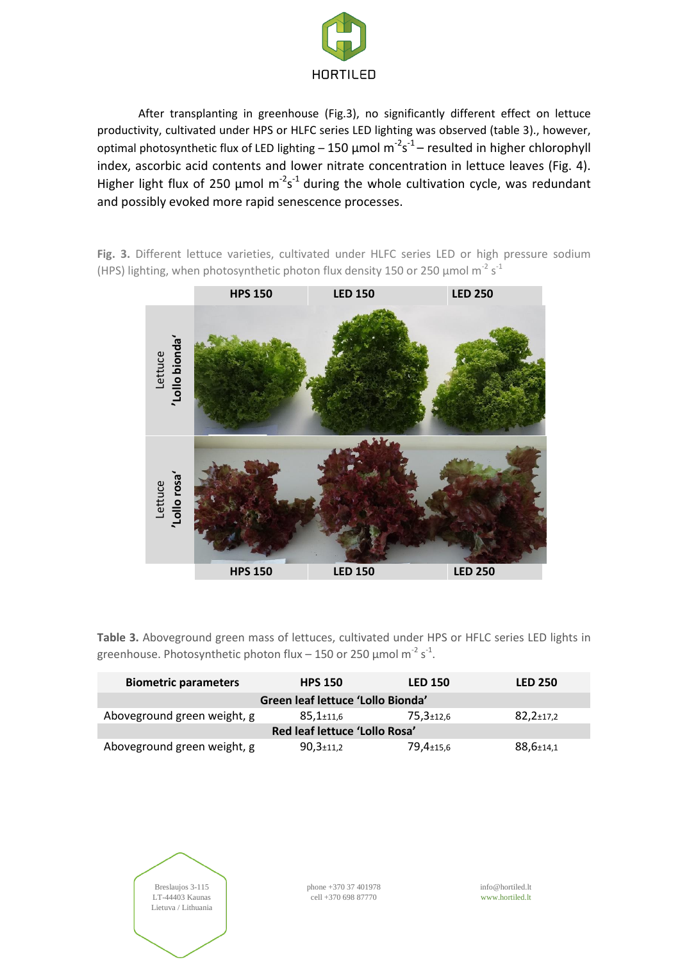

After transplanting in greenhouse (Fig.3), no significantly different effect on lettuce productivity, cultivated under HPS or HLFC series LED lighting was observed (table 3)., however, optimal photosynthetic flux of LED lighting  $-150$  µmol  $m^{-2}s^{-1}$  – resulted in higher chlorophyll index, ascorbic acid contents and lower nitrate concentration in lettuce leaves (Fig. 4). Higher light flux of 250  $\mu$ mol m<sup>-2</sup>s<sup>-1</sup> during the whole cultivation cycle, was redundant and possibly evoked more rapid senescence processes.

**Fig. 3.** Different lettuce varieties, cultivated under HLFC series LED or high pressure sodium (HPS) lighting, when photosynthetic photon flux density 150 or 250  $\mu$ mol m<sup>-2</sup> s<sup>-1</sup>



**Table 3.** Aboveground green mass of lettuces, cultivated under HPS or HFLC series LED lights in greenhouse. Photosynthetic photon flux – 150 or 250  $\mu$ mol m<sup>-2</sup> s<sup>-1</sup>.

| <b>Biometric parameters</b>       | <b>HPS 150</b>               | <b>LED 150</b>  | <b>LED 250</b>               |  |  |  |
|-----------------------------------|------------------------------|-----------------|------------------------------|--|--|--|
| Green leaf lettuce 'Lollo Bionda' |                              |                 |                              |  |  |  |
| Aboveground green weight, g       | $85,1{\scriptstyle\pm11.6}$  | $75.3 \pm 12.6$ | $82,2{\scriptstyle \pm17,2}$ |  |  |  |
| Red leaf lettuce 'Lollo Rosa'     |                              |                 |                              |  |  |  |
| Aboveground green weight, g       | $90,3{\scriptstyle \pm11,2}$ | 79,4±15,6       | $88,6{\scriptstyle \pm14,1}$ |  |  |  |

Breslaujos 3-115 LT-44403 Kaunas Lietuva / Lithuania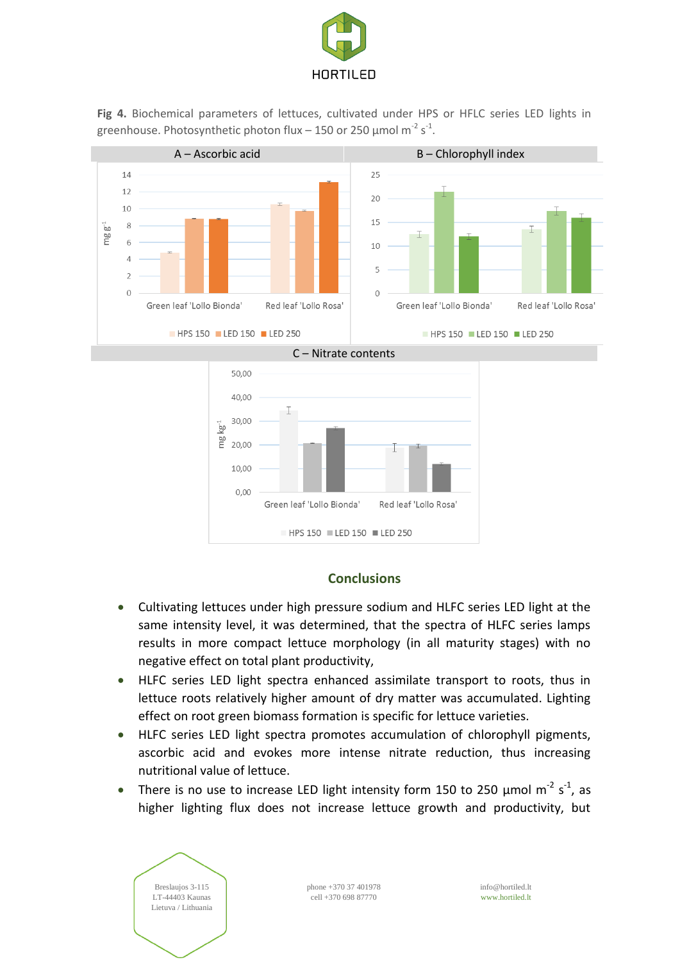

**Fig 4.** Biochemical parameters of lettuces, cultivated under HPS or HFLC series LED lights in greenhouse. Photosynthetic photon flux - 150 or 250  $\mu$ mol m<sup>-2</sup> s<sup>-1</sup>.



### **Conclusions**

HPS 150 LED 150 LED 250

- Cultivating lettuces under high pressure sodium and HLFC series LED light at the same intensity level, it was determined, that the spectra of HLFC series lamps results in more compact lettuce morphology (in all maturity stages) with no negative effect on total plant productivity,
- HLFC series LED light spectra enhanced assimilate transport to roots, thus in lettuce roots relatively higher amount of dry matter was accumulated. Lighting effect on root green biomass formation is specific for lettuce varieties.
- HLFC series LED light spectra promotes accumulation of chlorophyll pigments, ascorbic acid and evokes more intense nitrate reduction, thus increasing nutritional value of lettuce.
- There is no use to increase LED light intensity form 150 to 250  $\mu$ mol m<sup>-2</sup> s<sup>-1</sup>, as higher lighting flux does not increase lettuce growth and productivity, but

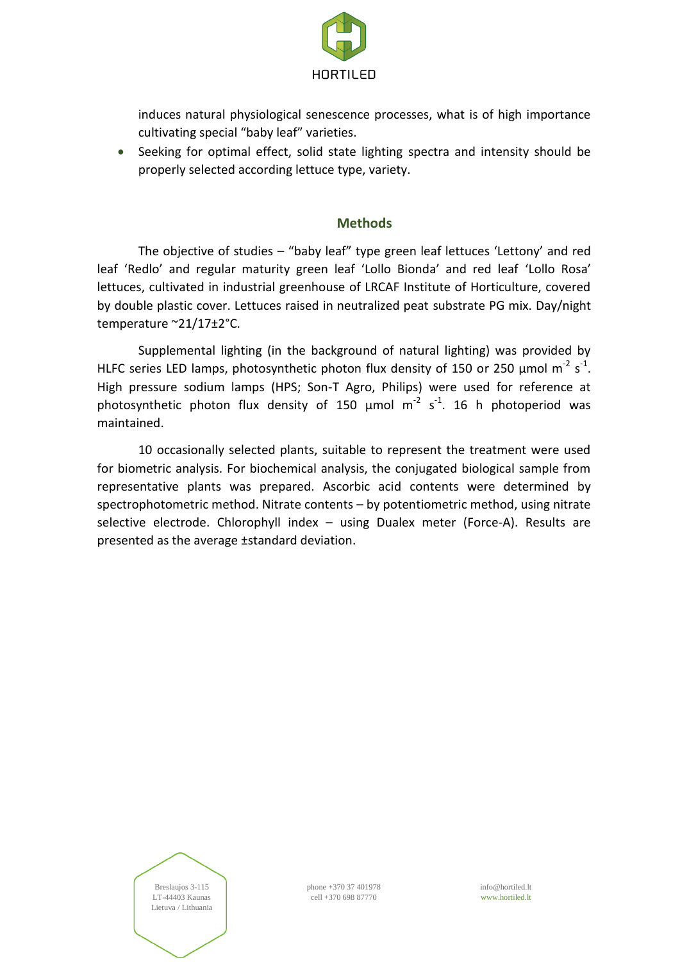

induces natural physiological senescence processes, what is of high importance cultivating special "baby leaf" varieties.

 Seeking for optimal effect, solid state lighting spectra and intensity should be properly selected according lettuce type, variety.

#### **Methods**

The objective of studies – "baby leaf" type green leaf lettuces 'Lettony' and red leaf 'Redlo' and regular maturity green leaf 'Lollo Bionda' and red leaf 'Lollo Rosa' lettuces, cultivated in industrial greenhouse of LRCAF Institute of Horticulture, covered by double plastic cover. Lettuces raised in neutralized peat substrate PG mix. Day/night temperature ~21/17±2°C.

Supplemental lighting (in the background of natural lighting) was provided by HLFC series LED lamps, photosynthetic photon flux density of 150 or 250  $\mu$ mol m<sup>-2</sup> s<sup>-1</sup>. High pressure sodium lamps (HPS; Son-T Agro, Philips) were used for reference at photosynthetic photon flux density of 150  $\mu$ mol m<sup>-2</sup> s<sup>-1</sup>. 16 h photoperiod was maintained.

10 occasionally selected plants, suitable to represent the treatment were used for biometric analysis. For biochemical analysis, the conjugated biological sample from representative plants was prepared. Ascorbic acid contents were determined by spectrophotometric method. Nitrate contents – by potentiometric method, using nitrate selective electrode. Chlorophyll index – using Dualex meter (Force-A). Results are presented as the average ±standard deviation.